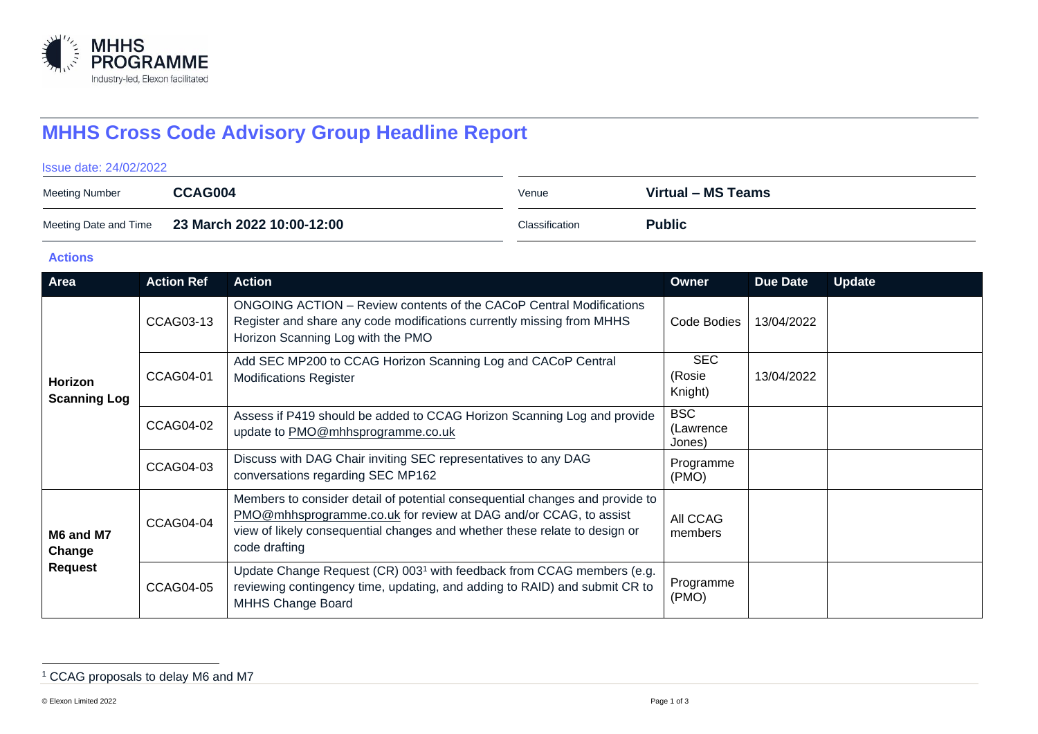

# **MHHS Cross Code Advisory Group Headline Report**

#### Issue date: 24/02/2022

| <b>Meeting Number</b> | CCAG004                   | Venue          | Virtual - MS Teams |
|-----------------------|---------------------------|----------------|--------------------|
| Meeting Date and Time | 23 March 2022 10:00-12:00 | Classification | <b>Public</b>      |

#### **Actions**

| Area                                  | <b>Action Ref</b> | <b>Action</b>                                                                                                                                                                                                                                   | <b>Owner</b>                      | <b>Due Date</b> | <b>Update</b> |
|---------------------------------------|-------------------|-------------------------------------------------------------------------------------------------------------------------------------------------------------------------------------------------------------------------------------------------|-----------------------------------|-----------------|---------------|
| Horizon<br><b>Scanning Log</b>        | CCAG03-13         | ONGOING ACTION – Review contents of the CACoP Central Modifications<br>Register and share any code modifications currently missing from MHHS<br>Horizon Scanning Log with the PMO                                                               | Code Bodies                       | 13/04/2022      |               |
|                                       | CCAG04-01         | Add SEC MP200 to CCAG Horizon Scanning Log and CACoP Central<br><b>Modifications Register</b>                                                                                                                                                   | <b>SEC</b><br>(Rosie<br>Knight)   | 13/04/2022      |               |
|                                       | <b>CCAG04-02</b>  | Assess if P419 should be added to CCAG Horizon Scanning Log and provide<br>update to PMO@mhhsprogramme.co.uk                                                                                                                                    | <b>BSC</b><br>(Lawrence<br>Jones) |                 |               |
|                                       | CCAG04-03         | Discuss with DAG Chair inviting SEC representatives to any DAG<br>conversations regarding SEC MP162                                                                                                                                             | Programme<br>(PMO)                |                 |               |
| M6 and M7<br>Change<br><b>Request</b> | <b>CCAG04-04</b>  | Members to consider detail of potential consequential changes and provide to<br>PMO@mhhsprogramme.co.uk for review at DAG and/or CCAG, to assist<br>view of likely consequential changes and whether these relate to design or<br>code drafting | All CCAG<br>members               |                 |               |
|                                       | CCAG04-05         | Update Change Request (CR) 003 <sup>1</sup> with feedback from CCAG members (e.g.<br>reviewing contingency time, updating, and adding to RAID) and submit CR to<br><b>MHHS Change Board</b>                                                     | Programme<br>(PMO)                |                 |               |

<sup>1</sup> CCAG proposals to delay M6 and M7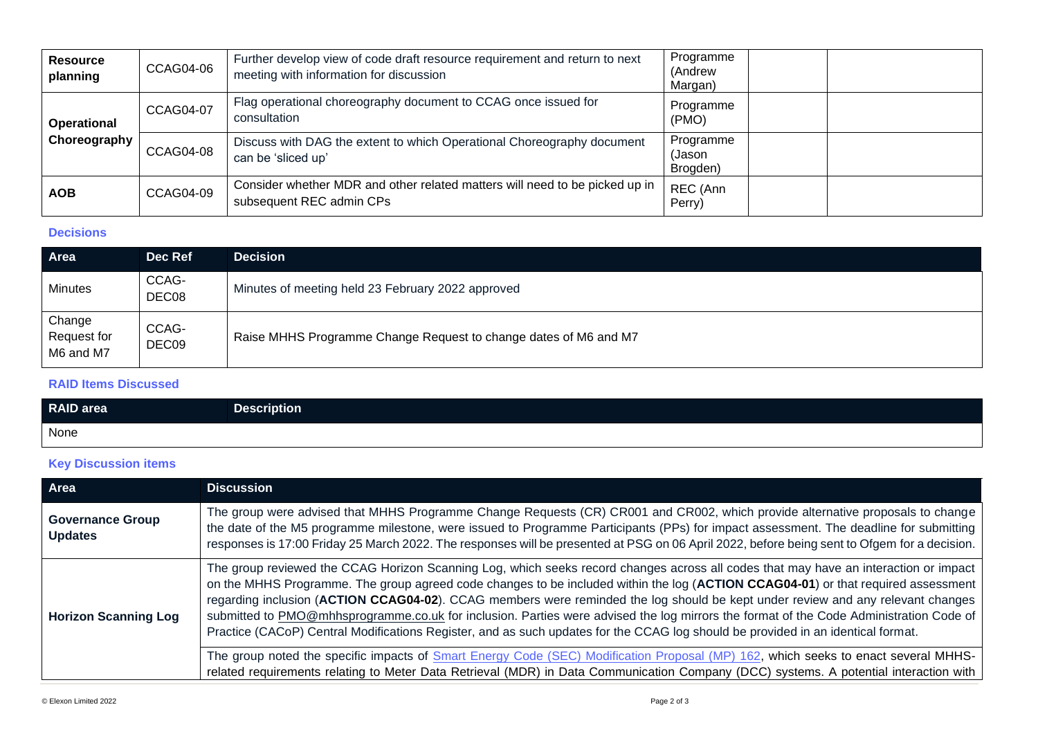| <b>Resource</b><br>planning | <b>CCAG04-06</b> | Further develop view of code draft resource requirement and return to next<br>meeting with information for discussion | Programme<br>(Andrew<br>Margan) |
|-----------------------------|------------------|-----------------------------------------------------------------------------------------------------------------------|---------------------------------|
| Operational<br>Choreography | <b>CCAG04-07</b> | Flag operational choreography document to CCAG once issued for<br>consultation                                        | Programme<br>(PMO)              |
|                             | <b>CCAG04-08</b> | Discuss with DAG the extent to which Operational Choreography document<br>can be 'sliced up'                          | Programme<br>(Jason<br>Brogden) |
| <b>AOB</b>                  | <b>CCAG04-09</b> | Consider whether MDR and other related matters will need to be picked up in<br>subsequent REC admin CPs               | REC (Ann<br>Perry)              |

### **Decisions**

| Area                               | Dec Ref        | <b>Decision</b>                                                  |
|------------------------------------|----------------|------------------------------------------------------------------|
| Minutes                            | CCAG-<br>DEC08 | Minutes of meeting held 23 February 2022 approved                |
| Change<br>Request for<br>M6 and M7 | CCAG-<br>DEC09 | Raise MHHS Programme Change Request to change dates of M6 and M7 |

#### **RAID Items Discussed**

| <b>RAID</b> area | <b>Description</b> |
|------------------|--------------------|
| None             |                    |

## **Key Discussion items**

| Area                                      | <b>Discussion</b>                                                                                                                                                                                                                                                                                                                                                                                                                                                                                                                                                                                                                                                                          |
|-------------------------------------------|--------------------------------------------------------------------------------------------------------------------------------------------------------------------------------------------------------------------------------------------------------------------------------------------------------------------------------------------------------------------------------------------------------------------------------------------------------------------------------------------------------------------------------------------------------------------------------------------------------------------------------------------------------------------------------------------|
| <b>Governance Group</b><br><b>Updates</b> | The group were advised that MHHS Programme Change Requests (CR) CR001 and CR002, which provide alternative proposals to change<br>the date of the M5 programme milestone, were issued to Programme Participants (PPs) for impact assessment. The deadline for submitting<br>responses is 17:00 Friday 25 March 2022. The responses will be presented at PSG on 06 April 2022, before being sent to Ofgem for a decision.                                                                                                                                                                                                                                                                   |
| <b>Horizon Scanning Log</b>               | The group reviewed the CCAG Horizon Scanning Log, which seeks record changes across all codes that may have an interaction or impact<br>on the MHHS Programme. The group agreed code changes to be included within the log (ACTION CCAG04-01) or that required assessment<br>regarding inclusion (ACTION CCAG04-02). CCAG members were reminded the log should be kept under review and any relevant changes<br>submitted to PMO@mhhsprogramme.co.uk for inclusion. Parties were advised the log mirrors the format of the Code Administration Code of<br>Practice (CACoP) Central Modifications Register, and as such updates for the CCAG log should be provided in an identical format. |
|                                           | The group noted the specific impacts of Smart Energy Code (SEC) Modification Proposal (MP) 162, which seeks to enact several MHHS-<br>related requirements relating to Meter Data Retrieval (MDR) in Data Communication Company (DCC) systems. A potential interaction with                                                                                                                                                                                                                                                                                                                                                                                                                |